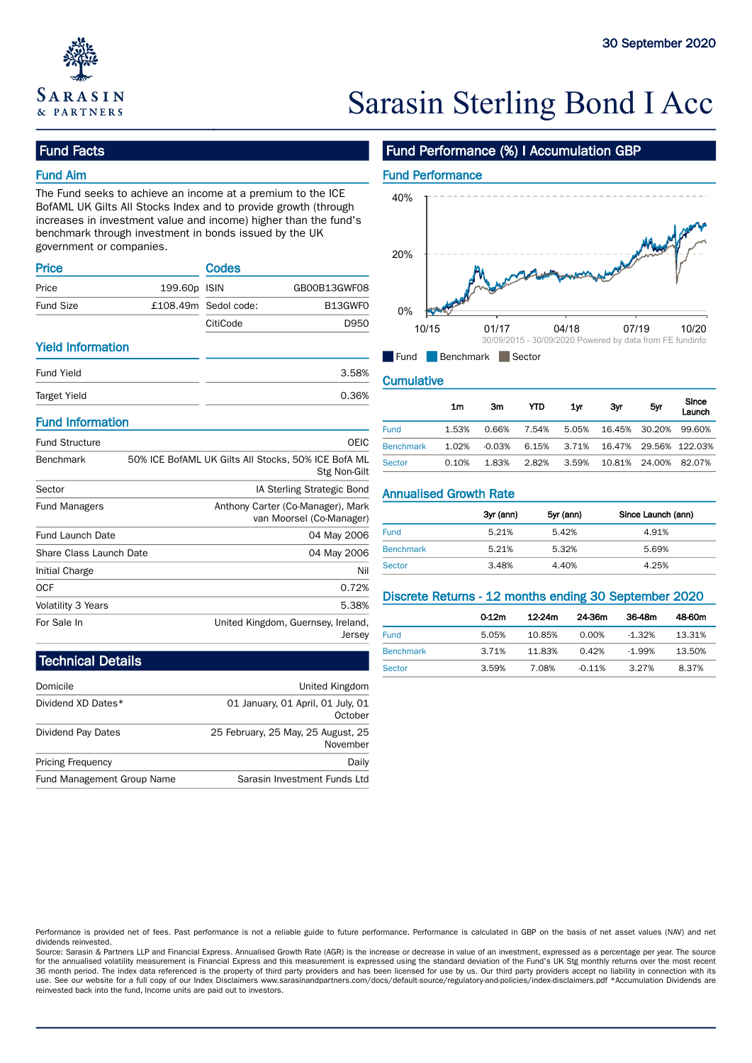

# Sarasin Sterling Bond I Acc

### Fund Facts

### Fund Aim

The Fund seeks to achieve an income at a premium to the ICE BofAML UK Gilts All Stocks Index and to provide growth (through increases in investment value and income) higher than the fund's benchmark through investment in bonds issued by the UK government or companies.

| <b>Price</b>     |              | <b>Codes</b>           |              | --- |       |
|------------------|--------------|------------------------|--------------|-----|-------|
| Price            | 199.60p ISIN |                        | GB00B13GWF08 |     |       |
| <b>Fund Size</b> |              | $£108.49m$ Sedol code: | B13GWFO      | 0%  |       |
|                  |              | CitiCode               | D950         |     | 10/15 |

### Yield Information

| <b>Target Yield</b> | 0.36% | 1m                        | Зm | YTD | 1yr |  |
|---------------------|-------|---------------------------|----|-----|-----|--|
|                     |       |                           |    |     |     |  |
| <b>Fund Yield</b>   | 3.58% | <b>Cumulative</b>         |    |     |     |  |
|                     |       | ∎runa<br>Benchmark Sector |    |     |     |  |

### Fund Information

| <b>Fund Structure</b>   | <b>OEIC</b>                                                         | <b>Benchmark</b>                                      | 1.02% | $-0.03%$  | 6.15%  | 3.71%     | 16.47% | 29.56%             | 122.03% |
|-------------------------|---------------------------------------------------------------------|-------------------------------------------------------|-------|-----------|--------|-----------|--------|--------------------|---------|
| Benchmark               | 50% ICE BofAML UK Gilts All Stocks, 50% ICE BofA ML<br>Stg Non-Gilt | <b>Sector</b>                                         | 0.10% | 1.83%     | 2.82%  | 3.59%     | 10.81% | 24.00%             | 82.07%  |
| Sector                  | IA Sterling Strategic Bond                                          | <b>Annualised Growth Rate</b>                         |       |           |        |           |        |                    |         |
| <b>Fund Managers</b>    | Anthony Carter (Co-Manager), Mark<br>van Moorsel (Co-Manager)       |                                                       |       | 3yr (ann) |        | 5yr (ann) |        | Since Launch (ann) |         |
| <b>Fund Launch Date</b> | 04 May 2006                                                         | <b>Fund</b>                                           |       | 5.21%     |        | 5.42%     |        | 4.91%              |         |
| Share Class Launch Date | 04 May 2006                                                         | <b>Benchmark</b>                                      |       | 5.21%     |        | 5.32%     |        | 5.69%              |         |
| Initial Charge          | Nil                                                                 | <b>Sector</b>                                         |       | 3.48%     |        | 4.40%     |        | 4.25%              |         |
| <b>OCF</b>              | 0.72%                                                               |                                                       |       |           |        |           |        |                    |         |
| Volatility 3 Years      | 5.38%                                                               | Discrete Returns - 12 months ending 30 September 2020 |       |           |        |           |        |                    |         |
| For Sale In             | United Kingdom, Guernsey, Ireland,                                  |                                                       |       | $0-12m$   | 12-24m | 24-36m    |        | 36-48m             | 48-60m  |
|                         | lersev                                                              | <b>Fund</b>                                           |       | 5.05%     | 10.85% | 0.00%     |        | $-1.32%$           | 13.31%  |

### Fund Performance (%) I Accumulation GBP



### **Cumulative**

|                  | 1m    | 3m    | YTD   | 1yr   | Зyг                                                     | 5yr | Since<br>Launch |
|------------------|-------|-------|-------|-------|---------------------------------------------------------|-----|-----------------|
| <b>Fund</b>      | 1.53% | 0.66% | 7.54% |       | 5.05% 16.45% 30.20% 99.60%                              |     |                 |
| <b>Benchmark</b> | 1.02% |       |       |       | -0.03%    6.15%    3.71%    16.47%    29.56%    122.03% |     |                 |
| <b>Sector</b>    | 0.10% | 1.83% | 2.82% | 3.59% | 10.81% 24.00% 82.07%                                    |     |                 |

|                  | 3yr (ann) | 5yr (ann) | Since Launch (ann) |
|------------------|-----------|-----------|--------------------|
| <b>Fund</b>      | 5.21%     | 5.42%     | 4.91%              |
| <b>Benchmark</b> | 5.21%     | 5.32%     | 5.69%              |
| Sector           | 3.48%     | 4.40%     | 4.25%              |

| ວ.ວ໐%<br>the contract of the contract of |                  |       |        |          |          |        |
|------------------------------------------|------------------|-------|--------|----------|----------|--------|
| eland,                                   |                  | 0-12m | 12-24m | 24-36m   | 36-48m   | 48-60m |
| Jersey                                   | <b>Fund</b>      | 5.05% | 10.85% | 0.00%    | $-1.32%$ | 13.31% |
|                                          | <b>Benchmark</b> | 3.71% | 11.83% | 0.42%    | $-1.99%$ | 13.50% |
|                                          | <b>Sector</b>    | 3.59% | 7.08%  | $-0.11%$ | 3.27%    | 8.37%  |

## Technical Details

| Domicile                   | United Kingdom                                 |
|----------------------------|------------------------------------------------|
| Dividend XD Dates*         | 01 January, 01 April, 01 July, 01<br>October   |
| Dividend Pay Dates         | 25 February, 25 May, 25 August, 25<br>November |
| <b>Pricing Frequency</b>   | Daily                                          |
| Fund Management Group Name | Sarasin Investment Funds Ltd                   |

Performance is provided net of fees. Past performance is not a reliable guide to future performance. Performance is calculated in GBP on the basis of net asset values (NAV) and net dividends reinvested.

Source: Sarasin & Partners LLP and Financial Express. Annualised Growth Rate (AGR) is the increase or decrease in value of an investment, expressed as a percentage per year. The source for the annualised volatility measurement is Financial Express and this measurement is expressed using the standard deviation of the Fund's UK Stg monthly returns over the most recent<br>36 month period. The index data refere use. See our website for a full copy of our Index Disclaimers www.sarasinandpartners.com/docs/default-source/regulatory-and-policies/index-disclaimers.pdf \*Accumulation Dividends are reinvested back into the fund, Income units are paid out to investors.